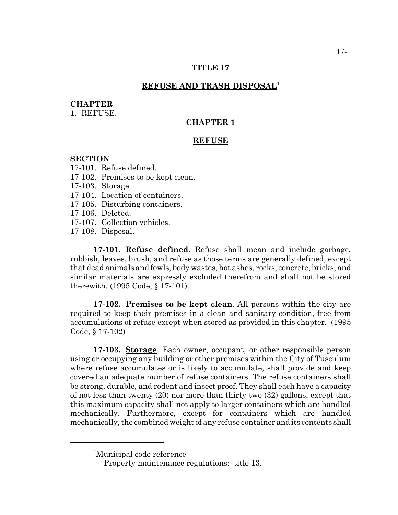## **TITLE 17**

## **REFUSE AND TRASH DISPOSAL1**

### **CHAPTER**

1. REFUSE.

# **CHAPTER 1**

### **REFUSE**

### **SECTION**

17-101. Refuse defined.

- 17-102. Premises to be kept clean.
- 17-103. Storage.
- 17-104. Location of containers.
- 17-105. Disturbing containers.
- 17-106. Deleted.
- 17-107. Collection vehicles.
- 17-108. Disposal.

**17-101. Refuse defined**. Refuse shall mean and include garbage, rubbish, leaves, brush, and refuse as those terms are generally defined, except that dead animals and fowls, body wastes, hot ashes, rocks, concrete, bricks, and similar materials are expressly excluded therefrom and shall not be stored therewith. (1995 Code, § 17-101)

**17-102. Premises to be kept clean**. All persons within the city are required to keep their premises in a clean and sanitary condition, free from accumulations of refuse except when stored as provided in this chapter. (1995 Code, § 17-102)

**17-103. Storage**. Each owner, occupant, or other responsible person using or occupying any building or other premises within the City of Tusculum where refuse accumulates or is likely to accumulate, shall provide and keep covered an adequate number of refuse containers. The refuse containers shall be strong, durable, and rodent and insect proof. They shall each have a capacity of not less than twenty (20) nor more than thirty-two (32) gallons, except that this maximum capacity shall not apply to larger containers which are handled mechanically. Furthermore, except for containers which are handled mechanically, the combined weight of any refuse container and its contents shall

<sup>1</sup> Municipal code reference

Property maintenance regulations: title 13.